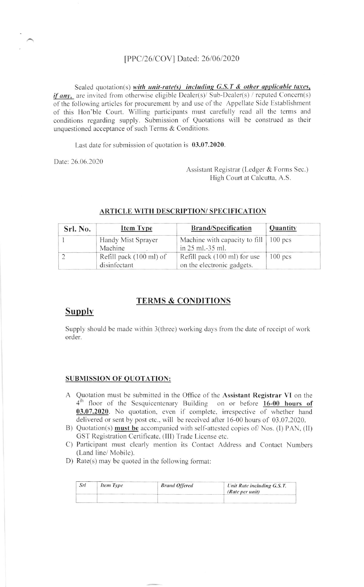#### [PPC/26/COV] Dated: 26/06/2020

Sealed quotation(s) with unit-rate(s) including  $G.S.T$  & other applicable taxes, *if any*, are invited from otherwise eligible Dealer(s)/ Sub-Dealer(s) / reputed Concern(s) of the following articles for procurement by and use of the Appellate Side Establishment of this Hon'ble Court. Willing participants must carefully read all the terms and conditions regarding supply. Submission of Quotations will be construed as their unquestioned acceptance of such Terms & Conditions.

Last date for submission of quotation is 03.07.2020.

Date: 26.06.2020

Assistant Registrar (Ledger & Forms Sec.) High Court at Calcutta, A.S.

| Srl. No. | <b>Item Type</b>                        | <b>Brand/Specification</b>                                  | Quantity  |
|----------|-----------------------------------------|-------------------------------------------------------------|-----------|
|          | Handy Mist Sprayer<br>Machine           | Machine with capacity to fill   100 pcs<br>in 25 ml.-35 ml. |           |
|          | Refill pack (100 ml) of<br>disinfectant | Refill pack (100 ml) for use<br>on the electronic gadgets.  | $100$ pcs |

#### **ARTICLE WITH DESCRIPTION/ SPECIFICATION**

### **TERMS & CONDITIONS**

# **Supply**

Supply should be made within 3(three) working days from the date of receipt of work order.

#### **SUBMISSION OF QUOTATION:**

- A Quotation must be submitted in the Office of the Assistant Registrar VI on the  $4<sup>th</sup>$  floor of the Sesquicentenary Building on or before  $16-00$  hours of 03.07.2020. No quotation, even if complete, irrespective of whether hand delivered or sent by post etc., will be received after 16-00 hours of 03.07.2020.
- B) Quotation(s) must be accompanied with self-attested copies of Nos. (I) PAN, (II) GST Registration Certificate, (III) Trade License etc.
- C) Participant must clearly mention its Contact Address and Contact Numbers (Land line/ Mobile).
- D) Rate(s) may be quoted in the following format:

| Srl | Item Type | <b>Brand Offered</b> | Unit Rate including G.S.T.<br>(Rate per unit) |
|-----|-----------|----------------------|-----------------------------------------------|
|     |           |                      |                                               |